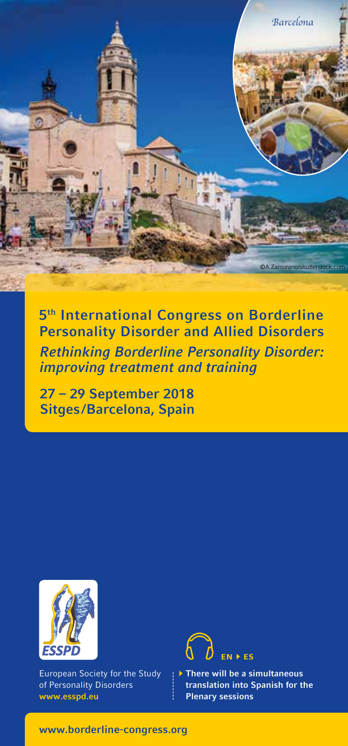

# 5th International Congress on Borderline Personality Disorder and Allied Disorders

Rethinking Borderline Personality Disorder: improving treatment and training

27 – 29 September 2018 Sitges /Barcelona, Spain



European Society for the Study of Personality Disorders www.esspd.eu



 $\blacktriangleright$  There will be a simultaneous translation into Spanish for the Plenary sessions

www.borderline-congress.org